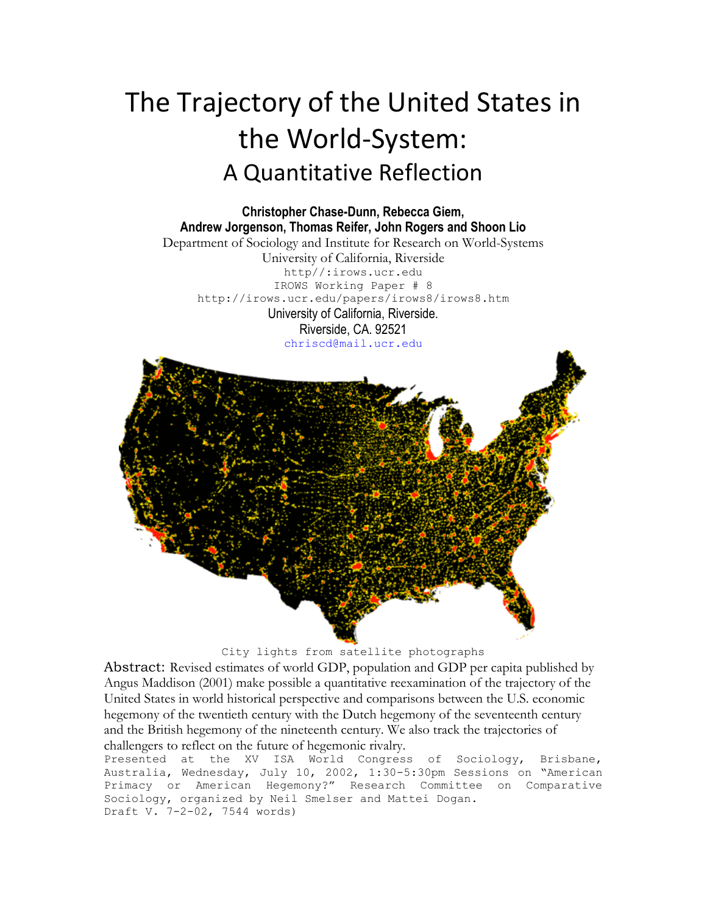# The Trajectory of the United States in the World-System: A Quantitative Reflection

**Christopher Chase-Dunn, Rebecca Giem, Andrew Jorgenson, Thomas Reifer, John Rogers and Shoon Lio** Department of Sociology and Institute for Research on World-Systems University of California, Riverside http//:irows.ucr.edu IROWS Working Paper # 8 http://irows.ucr.edu/papers/irows8/irows8.htm University of California, Riverside. Riverside, CA. 92521 [chriscd@mail.ucr.edu](mailto:chriscd@mail.ucr.edu)



City lights from satellite photographs

Abstract: Revised estimates of world GDP, population and GDP per capita published by Angus Maddison (2001) make possible a quantitative reexamination of the trajectory of the United States in world historical perspective and comparisons between the U.S. economic hegemony of the twentieth century with the Dutch hegemony of the seventeenth century and the British hegemony of the nineteenth century. We also track the trajectories of challengers to reflect on the future of hegemonic rivalry.

Presented at the XV ISA World Congress of Sociology, Brisbane, Australia, Wednesday, July 10, 2002, 1:30-5:30pm Sessions on "American Primacy or American Hegemony?" Research Committee on Comparative Sociology, organized by Neil Smelser and Mattei Dogan. Draft V. 7-2-02, 7544 words)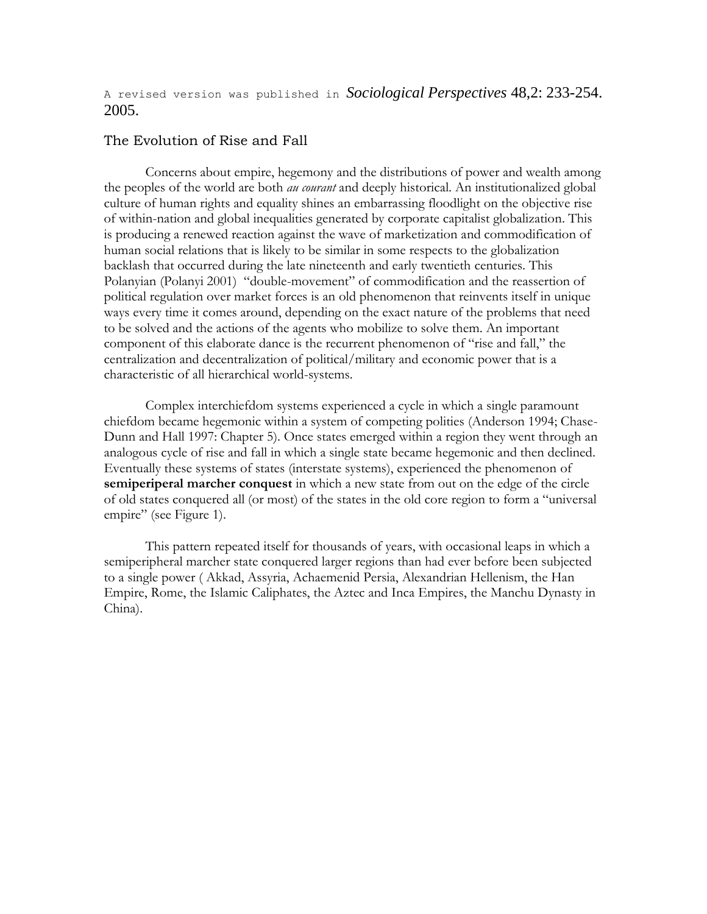A revised version was published in *Sociological Perspectives* 48,2: 233-254. 2005.

#### The Evolution of Rise and Fall

Concerns about empire, hegemony and the distributions of power and wealth among the peoples of the world are both *au courant* and deeply historical. An institutionalized global culture of human rights and equality shines an embarrassing floodlight on the objective rise of within-nation and global inequalities generated by corporate capitalist globalization. This is producing a renewed reaction against the wave of marketization and commodification of human social relations that is likely to be similar in some respects to the globalization backlash that occurred during the late nineteenth and early twentieth centuries. This Polanyian (Polanyi 2001) "double-movement" of commodification and the reassertion of political regulation over market forces is an old phenomenon that reinvents itself in unique ways every time it comes around, depending on the exact nature of the problems that need to be solved and the actions of the agents who mobilize to solve them. An important component of this elaborate dance is the recurrent phenomenon of "rise and fall," the centralization and decentralization of political/military and economic power that is a characteristic of all hierarchical world-systems.

Complex interchiefdom systems experienced a cycle in which a single paramount chiefdom became hegemonic within a system of competing polities (Anderson 1994; Chase-Dunn and Hall 1997: Chapter 5). Once states emerged within a region they went through an analogous cycle of rise and fall in which a single state became hegemonic and then declined. Eventually these systems of states (interstate systems), experienced the phenomenon of **semiperiperal marcher conquest** in which a new state from out on the edge of the circle of old states conquered all (or most) of the states in the old core region to form a "universal empire" (see Figure 1).

This pattern repeated itself for thousands of years, with occasional leaps in which a semiperipheral marcher state conquered larger regions than had ever before been subjected to a single power ( Akkad, Assyria, Achaemenid Persia, Alexandrian Hellenism, the Han Empire, Rome, the Islamic Caliphates, the Aztec and Inca Empires, the Manchu Dynasty in China).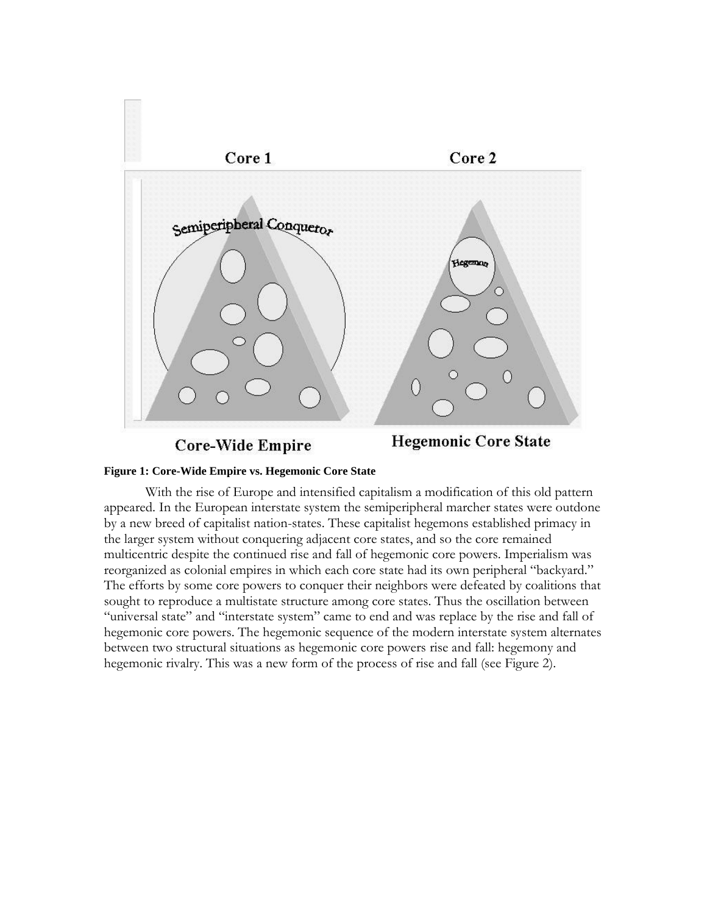

# **Figure 1: Core-Wide Empire vs. Hegemonic Core State**

With the rise of Europe and intensified capitalism a modification of this old pattern appeared. In the European interstate system the semiperipheral marcher states were outdone by a new breed of capitalist nation-states. These capitalist hegemons established primacy in the larger system without conquering adjacent core states, and so the core remained multicentric despite the continued rise and fall of hegemonic core powers. Imperialism was reorganized as colonial empires in which each core state had its own peripheral "backyard." The efforts by some core powers to conquer their neighbors were defeated by coalitions that sought to reproduce a multistate structure among core states. Thus the oscillation between "universal state" and "interstate system" came to end and was replace by the rise and fall of hegemonic core powers. The hegemonic sequence of the modern interstate system alternates between two structural situations as hegemonic core powers rise and fall: hegemony and hegemonic rivalry. This was a new form of the process of rise and fall (see Figure 2).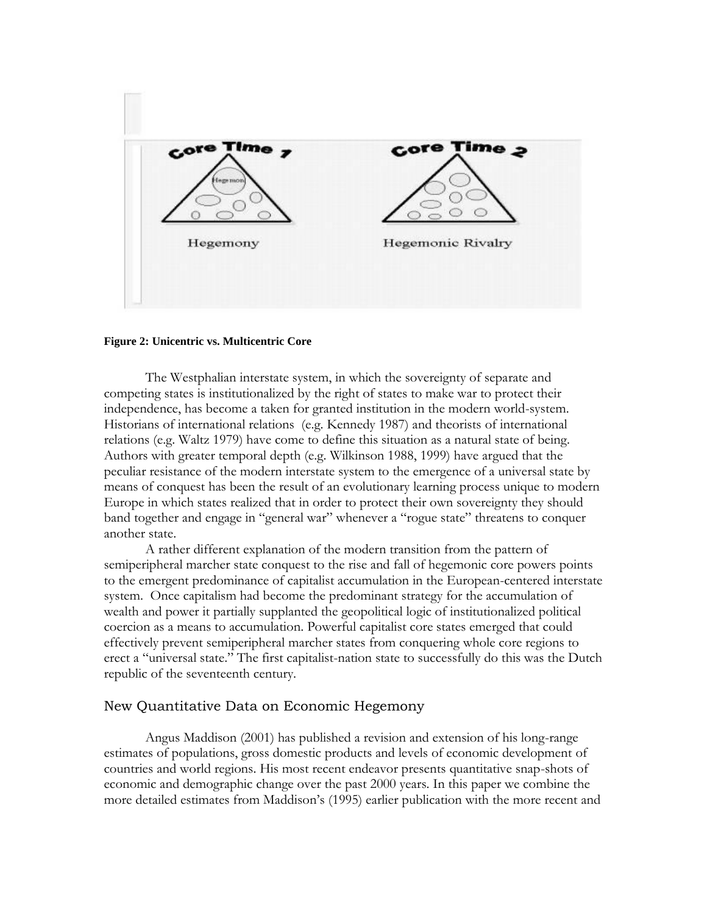

#### **Figure 2: Unicentric vs. Multicentric Core**

The Westphalian interstate system, in which the sovereignty of separate and competing states is institutionalized by the right of states to make war to protect their independence, has become a taken for granted institution in the modern world-system. Historians of international relations (e.g. Kennedy 1987) and theorists of international relations (e.g. Waltz 1979) have come to define this situation as a natural state of being. Authors with greater temporal depth (e.g. Wilkinson 1988, 1999) have argued that the peculiar resistance of the modern interstate system to the emergence of a universal state by means of conquest has been the result of an evolutionary learning process unique to modern Europe in which states realized that in order to protect their own sovereignty they should band together and engage in "general war" whenever a "rogue state" threatens to conquer another state.

A rather different explanation of the modern transition from the pattern of semiperipheral marcher state conquest to the rise and fall of hegemonic core powers points to the emergent predominance of capitalist accumulation in the European-centered interstate system. Once capitalism had become the predominant strategy for the accumulation of wealth and power it partially supplanted the geopolitical logic of institutionalized political coercion as a means to accumulation. Powerful capitalist core states emerged that could effectively prevent semiperipheral marcher states from conquering whole core regions to erect a "universal state." The first capitalist-nation state to successfully do this was the Dutch republic of the seventeenth century.

## New Quantitative Data on Economic Hegemony

Angus Maddison (2001) has published a revision and extension of his long-range estimates of populations, gross domestic products and levels of economic development of countries and world regions. His most recent endeavor presents quantitative snap-shots of economic and demographic change over the past 2000 years. In this paper we combine the more detailed estimates from Maddison's (1995) earlier publication with the more recent and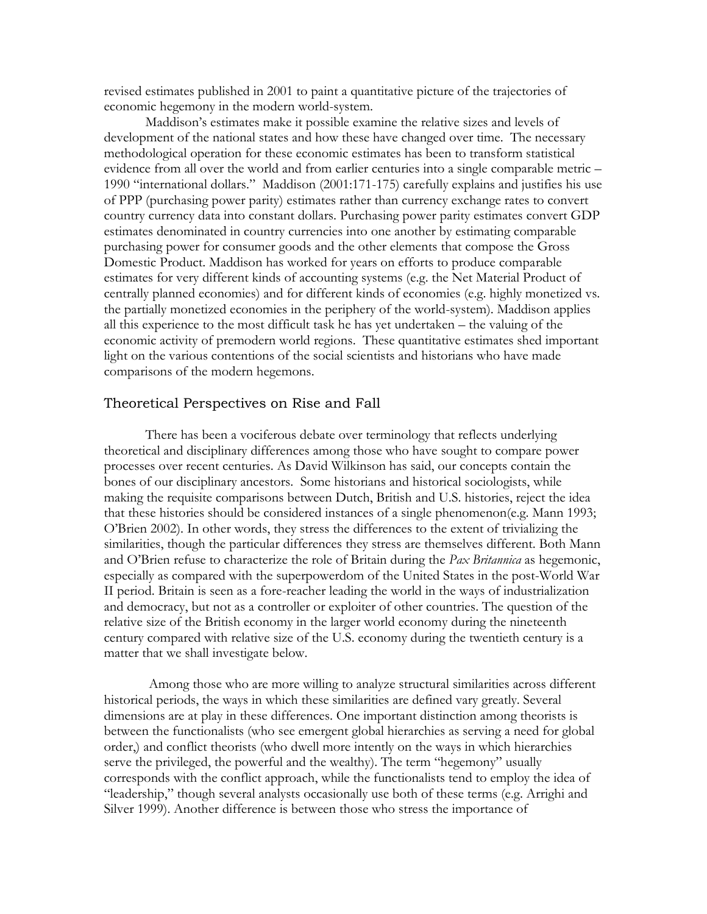revised estimates published in 2001 to paint a quantitative picture of the trajectories of economic hegemony in the modern world-system.

Maddison's estimates make it possible examine the relative sizes and levels of development of the national states and how these have changed over time. The necessary methodological operation for these economic estimates has been to transform statistical evidence from all over the world and from earlier centuries into a single comparable metric – 1990 "international dollars." Maddison (2001:171-175) carefully explains and justifies his use of PPP (purchasing power parity) estimates rather than currency exchange rates to convert country currency data into constant dollars. Purchasing power parity estimates convert GDP estimates denominated in country currencies into one another by estimating comparable purchasing power for consumer goods and the other elements that compose the Gross Domestic Product. Maddison has worked for years on efforts to produce comparable estimates for very different kinds of accounting systems (e.g. the Net Material Product of centrally planned economies) and for different kinds of economies (e.g. highly monetized vs. the partially monetized economies in the periphery of the world-system). Maddison applies all this experience to the most difficult task he has yet undertaken – the valuing of the economic activity of premodern world regions. These quantitative estimates shed important light on the various contentions of the social scientists and historians who have made comparisons of the modern hegemons.

## Theoretical Perspectives on Rise and Fall

There has been a vociferous debate over terminology that reflects underlying theoretical and disciplinary differences among those who have sought to compare power processes over recent centuries. As David Wilkinson has said, our concepts contain the bones of our disciplinary ancestors. Some historians and historical sociologists, while making the requisite comparisons between Dutch, British and U.S. histories, reject the idea that these histories should be considered instances of a single phenomenon(e.g. Mann 1993; O'Brien 2002). In other words, they stress the differences to the extent of trivializing the similarities, though the particular differences they stress are themselves different. Both Mann and O'Brien refuse to characterize the role of Britain during the *Pax Britannica* as hegemonic, especially as compared with the superpowerdom of the United States in the post-World War II period. Britain is seen as a fore-reacher leading the world in the ways of industrialization and democracy, but not as a controller or exploiter of other countries. The question of the relative size of the British economy in the larger world economy during the nineteenth century compared with relative size of the U.S. economy during the twentieth century is a matter that we shall investigate below.

Among those who are more willing to analyze structural similarities across different historical periods, the ways in which these similarities are defined vary greatly. Several dimensions are at play in these differences. One important distinction among theorists is between the functionalists (who see emergent global hierarchies as serving a need for global order,) and conflict theorists (who dwell more intently on the ways in which hierarchies serve the privileged, the powerful and the wealthy). The term "hegemony" usually corresponds with the conflict approach, while the functionalists tend to employ the idea of "leadership," though several analysts occasionally use both of these terms (e.g. Arrighi and Silver 1999). Another difference is between those who stress the importance of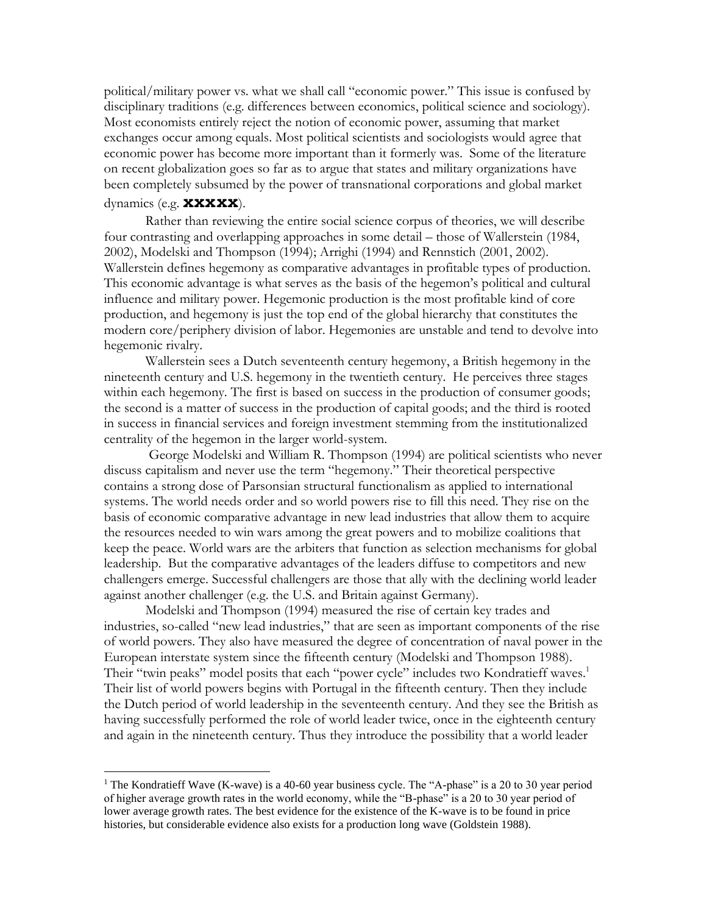political/military power vs. what we shall call "economic power." This issue is confused by disciplinary traditions (e.g. differences between economics, political science and sociology). Most economists entirely reject the notion of economic power, assuming that market exchanges occur among equals. Most political scientists and sociologists would agree that economic power has become more important than it formerly was. Some of the literature on recent globalization goes so far as to argue that states and military organizations have been completely subsumed by the power of transnational corporations and global market dynamics (e.g. **xxxxx**).

Rather than reviewing the entire social science corpus of theories, we will describe four contrasting and overlapping approaches in some detail – those of Wallerstein (1984, 2002), Modelski and Thompson (1994); Arrighi (1994) and Rennstich (2001, 2002). Wallerstein defines hegemony as comparative advantages in profitable types of production. This economic advantage is what serves as the basis of the hegemon's political and cultural influence and military power. Hegemonic production is the most profitable kind of core production, and hegemony is just the top end of the global hierarchy that constitutes the modern core/periphery division of labor. Hegemonies are unstable and tend to devolve into hegemonic rivalry.

Wallerstein sees a Dutch seventeenth century hegemony, a British hegemony in the nineteenth century and U.S. hegemony in the twentieth century. He perceives three stages within each hegemony. The first is based on success in the production of consumer goods; the second is a matter of success in the production of capital goods; and the third is rooted in success in financial services and foreign investment stemming from the institutionalized centrality of the hegemon in the larger world-system.

George Modelski and William R. Thompson (1994) are political scientists who never discuss capitalism and never use the term "hegemony." Their theoretical perspective contains a strong dose of Parsonsian structural functionalism as applied to international systems. The world needs order and so world powers rise to fill this need. They rise on the basis of economic comparative advantage in new lead industries that allow them to acquire the resources needed to win wars among the great powers and to mobilize coalitions that keep the peace. World wars are the arbiters that function as selection mechanisms for global leadership. But the comparative advantages of the leaders diffuse to competitors and new challengers emerge. Successful challengers are those that ally with the declining world leader against another challenger (e.g. the U.S. and Britain against Germany).

Modelski and Thompson (1994) measured the rise of certain key trades and industries, so-called "new lead industries," that are seen as important components of the rise of world powers. They also have measured the degree of concentration of naval power in the European interstate system since the fifteenth century (Modelski and Thompson 1988). Their "twin peaks" model posits that each "power cycle" includes two Kondratieff waves.<sup>1</sup> Their list of world powers begins with Portugal in the fifteenth century. Then they include the Dutch period of world leadership in the seventeenth century. And they see the British as having successfully performed the role of world leader twice, once in the eighteenth century and again in the nineteenth century. Thus they introduce the possibility that a world leader

<sup>&</sup>lt;sup>1</sup> The Kondratieff Wave (K-wave) is a 40-60 year business cycle. The "A-phase" is a 20 to 30 year period of higher average growth rates in the world economy, while the "B-phase" is a 20 to 30 year period of lower average growth rates. The best evidence for the existence of the K-wave is to be found in price histories, but considerable evidence also exists for a production long wave (Goldstein 1988).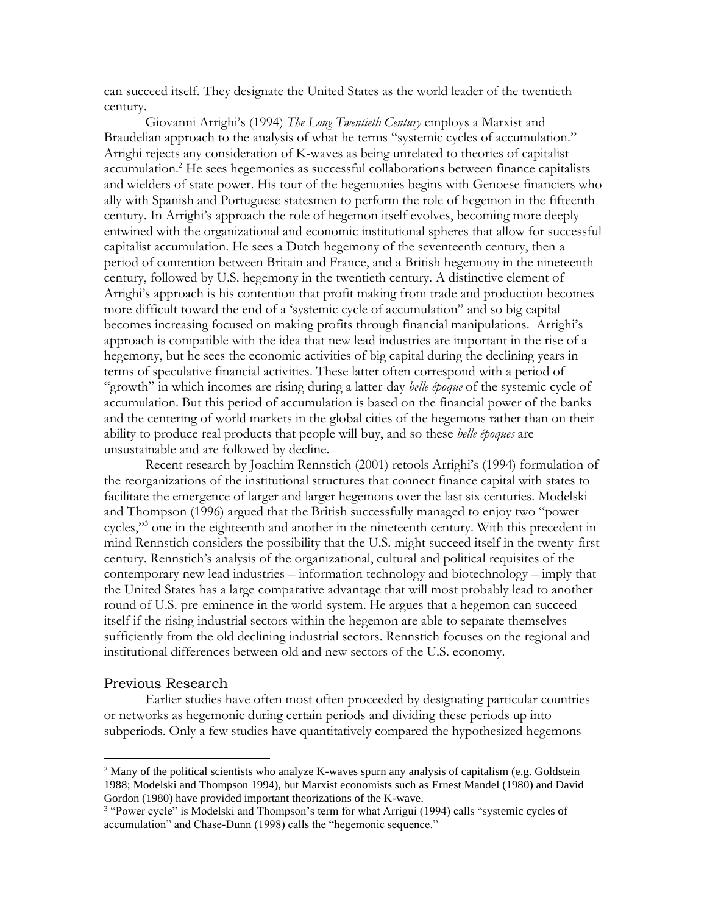can succeed itself. They designate the United States as the world leader of the twentieth century.

Giovanni Arrighi's (1994) *The Long Twentieth Century* employs a Marxist and Braudelian approach to the analysis of what he terms "systemic cycles of accumulation." Arrighi rejects any consideration of K-waves as being unrelated to theories of capitalist accumulation.<sup>2</sup> He sees hegemonies as successful collaborations between finance capitalists and wielders of state power. His tour of the hegemonies begins with Genoese financiers who ally with Spanish and Portuguese statesmen to perform the role of hegemon in the fifteenth century. In Arrighi's approach the role of hegemon itself evolves, becoming more deeply entwined with the organizational and economic institutional spheres that allow for successful capitalist accumulation. He sees a Dutch hegemony of the seventeenth century, then a period of contention between Britain and France, and a British hegemony in the nineteenth century, followed by U.S. hegemony in the twentieth century. A distinctive element of Arrighi's approach is his contention that profit making from trade and production becomes more difficult toward the end of a 'systemic cycle of accumulation" and so big capital becomes increasing focused on making profits through financial manipulations. Arrighi's approach is compatible with the idea that new lead industries are important in the rise of a hegemony, but he sees the economic activities of big capital during the declining years in terms of speculative financial activities. These latter often correspond with a period of "growth" in which incomes are rising during a latter-day *belle époque* of the systemic cycle of accumulation. But this period of accumulation is based on the financial power of the banks and the centering of world markets in the global cities of the hegemons rather than on their ability to produce real products that people will buy, and so these *belle époques* are unsustainable and are followed by decline.

Recent research by Joachim Rennstich (2001) retools Arrighi's (1994) formulation of the reorganizations of the institutional structures that connect finance capital with states to facilitate the emergence of larger and larger hegemons over the last six centuries. Modelski and Thompson (1996) argued that the British successfully managed to enjoy two "power cycles,"<sup>3</sup> one in the eighteenth and another in the nineteenth century. With this precedent in mind Rennstich considers the possibility that the U.S. might succeed itself in the twenty-first century. Rennstich's analysis of the organizational, cultural and political requisites of the contemporary new lead industries – information technology and biotechnology – imply that the United States has a large comparative advantage that will most probably lead to another round of U.S. pre-eminence in the world-system. He argues that a hegemon can succeed itself if the rising industrial sectors within the hegemon are able to separate themselves sufficiently from the old declining industrial sectors. Rennstich focuses on the regional and institutional differences between old and new sectors of the U.S. economy.

#### Previous Research

Earlier studies have often most often proceeded by designating particular countries or networks as hegemonic during certain periods and dividing these periods up into subperiods. Only a few studies have quantitatively compared the hypothesized hegemons

<sup>&</sup>lt;sup>2</sup> Many of the political scientists who analyze K-waves spurn any analysis of capitalism (e.g. Goldstein 1988; Modelski and Thompson 1994), but Marxist economists such as Ernest Mandel (1980) and David Gordon (1980) have provided important theorizations of the K-wave.

<sup>&</sup>lt;sup>3</sup> "Power cycle" is Modelski and Thompson's term for what Arrigui (1994) calls "systemic cycles of accumulation" and Chase-Dunn (1998) calls the "hegemonic sequence."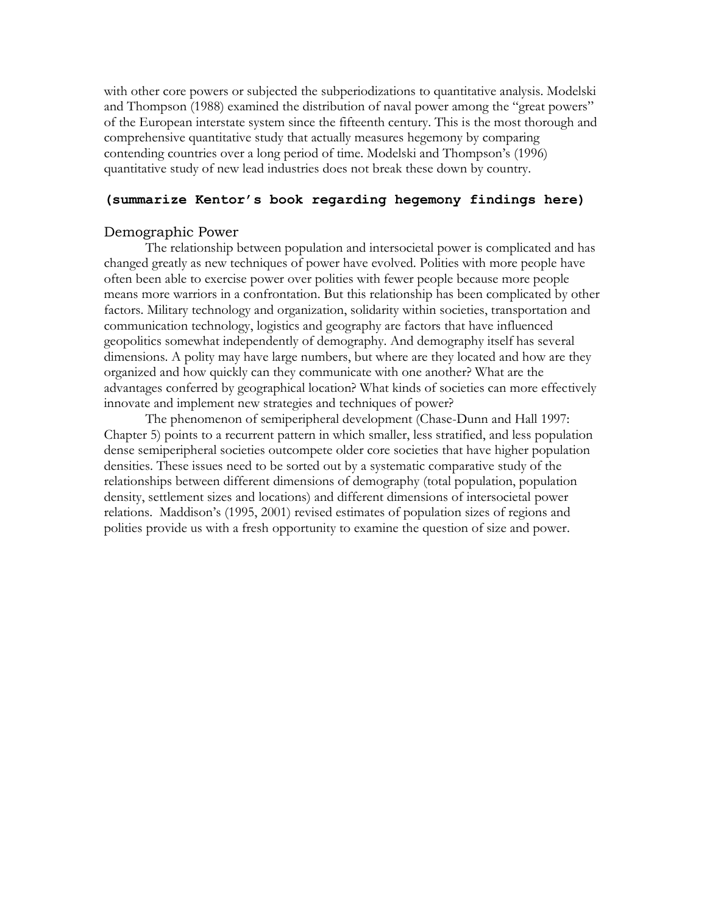with other core powers or subjected the subperiodizations to quantitative analysis. Modelski and Thompson (1988) examined the distribution of naval power among the "great powers" of the European interstate system since the fifteenth century. This is the most thorough and comprehensive quantitative study that actually measures hegemony by comparing contending countries over a long period of time. Modelski and Thompson's (1996) quantitative study of new lead industries does not break these down by country.

# **(summarize Kentor's book regarding hegemony findings here)**

#### Demographic Power

The relationship between population and intersocietal power is complicated and has changed greatly as new techniques of power have evolved. Polities with more people have often been able to exercise power over polities with fewer people because more people means more warriors in a confrontation. But this relationship has been complicated by other factors. Military technology and organization, solidarity within societies, transportation and communication technology, logistics and geography are factors that have influenced geopolitics somewhat independently of demography. And demography itself has several dimensions. A polity may have large numbers, but where are they located and how are they organized and how quickly can they communicate with one another? What are the advantages conferred by geographical location? What kinds of societies can more effectively innovate and implement new strategies and techniques of power?

The phenomenon of semiperipheral development (Chase-Dunn and Hall 1997: Chapter 5) points to a recurrent pattern in which smaller, less stratified, and less population dense semiperipheral societies outcompete older core societies that have higher population densities. These issues need to be sorted out by a systematic comparative study of the relationships between different dimensions of demography (total population, population density, settlement sizes and locations) and different dimensions of intersocietal power relations. Maddison's (1995, 2001) revised estimates of population sizes of regions and polities provide us with a fresh opportunity to examine the question of size and power.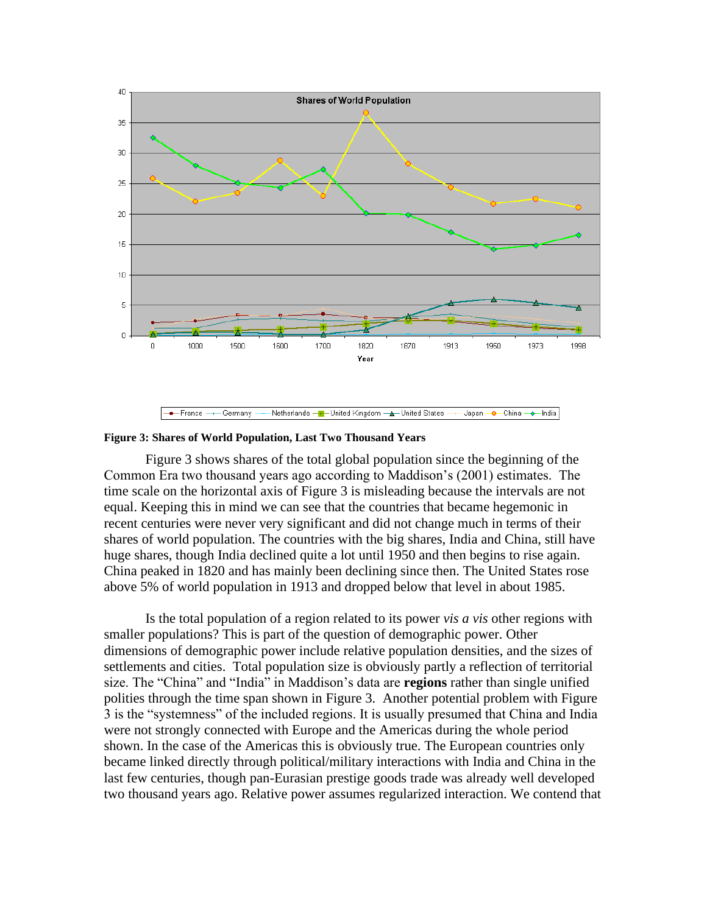

**Figure 3: Shares of World Population, Last Two Thousand Years**

Figure 3 shows shares of the total global population since the beginning of the Common Era two thousand years ago according to Maddison's (2001) estimates. The time scale on the horizontal axis of Figure 3 is misleading because the intervals are not equal. Keeping this in mind we can see that the countries that became hegemonic in recent centuries were never very significant and did not change much in terms of their shares of world population. The countries with the big shares, India and China, still have huge shares, though India declined quite a lot until 1950 and then begins to rise again. China peaked in 1820 and has mainly been declining since then. The United States rose above 5% of world population in 1913 and dropped below that level in about 1985.

Is the total population of a region related to its power *vis a vis* other regions with smaller populations? This is part of the question of demographic power. Other dimensions of demographic power include relative population densities, and the sizes of settlements and cities. Total population size is obviously partly a reflection of territorial size. The "China" and "India" in Maddison's data are **regions** rather than single unified polities through the time span shown in Figure 3. Another potential problem with Figure 3 is the "systemness" of the included regions. It is usually presumed that China and India were not strongly connected with Europe and the Americas during the whole period shown. In the case of the Americas this is obviously true. The European countries only became linked directly through political/military interactions with India and China in the last few centuries, though pan-Eurasian prestige goods trade was already well developed two thousand years ago. Relative power assumes regularized interaction. We contend that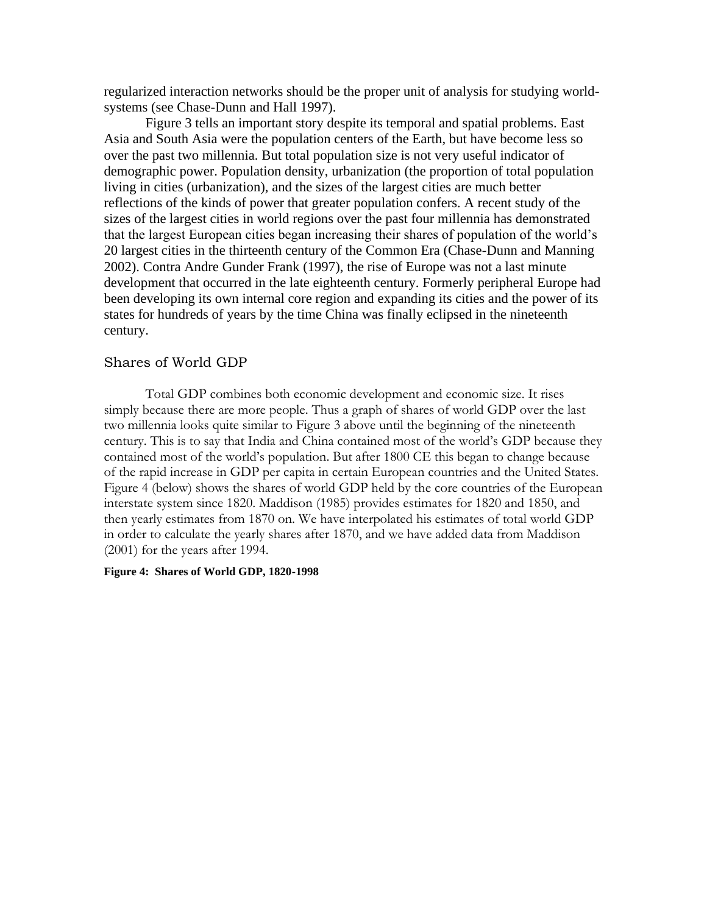regularized interaction networks should be the proper unit of analysis for studying worldsystems (see Chase-Dunn and Hall 1997).

Figure 3 tells an important story despite its temporal and spatial problems. East Asia and South Asia were the population centers of the Earth, but have become less so over the past two millennia. But total population size is not very useful indicator of demographic power. Population density, urbanization (the proportion of total population living in cities (urbanization), and the sizes of the largest cities are much better reflections of the kinds of power that greater population confers. A recent study of the sizes of the largest cities in world regions over the past four millennia has demonstrated that the largest European cities began increasing their shares of population of the world's 20 largest cities in the thirteenth century of the Common Era (Chase-Dunn and Manning 2002). Contra Andre Gunder Frank (1997), the rise of Europe was not a last minute development that occurred in the late eighteenth century. Formerly peripheral Europe had been developing its own internal core region and expanding its cities and the power of its states for hundreds of years by the time China was finally eclipsed in the nineteenth century.

## Shares of World GDP

Total GDP combines both economic development and economic size. It rises simply because there are more people. Thus a graph of shares of world GDP over the last two millennia looks quite similar to Figure 3 above until the beginning of the nineteenth century. This is to say that India and China contained most of the world's GDP because they contained most of the world's population. But after 1800 CE this began to change because of the rapid increase in GDP per capita in certain European countries and the United States. Figure 4 (below) shows the shares of world GDP held by the core countries of the European interstate system since 1820. Maddison (1985) provides estimates for 1820 and 1850, and then yearly estimates from 1870 on. We have interpolated his estimates of total world GDP in order to calculate the yearly shares after 1870, and we have added data from Maddison (2001) for the years after 1994.

### **Figure 4: Shares of World GDP, 1820-1998**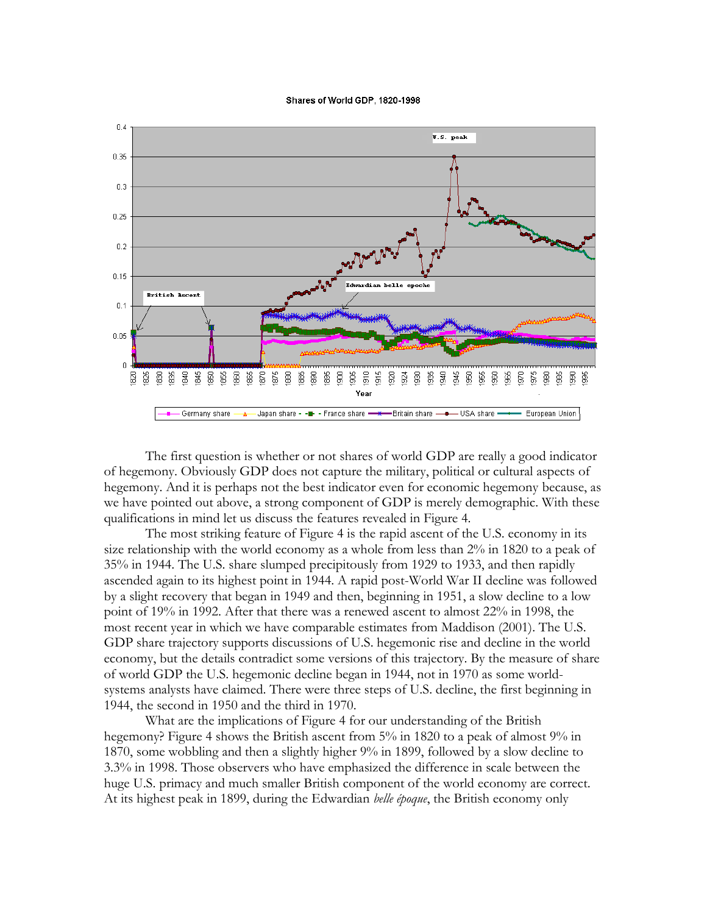#### Shares of World GDP, 1820-1998



The first question is whether or not shares of world GDP are really a good indicator of hegemony. Obviously GDP does not capture the military, political or cultural aspects of hegemony. And it is perhaps not the best indicator even for economic hegemony because, as we have pointed out above, a strong component of GDP is merely demographic. With these qualifications in mind let us discuss the features revealed in Figure 4.

The most striking feature of Figure 4 is the rapid ascent of the U.S. economy in its size relationship with the world economy as a whole from less than 2% in 1820 to a peak of 35% in 1944. The U.S. share slumped precipitously from 1929 to 1933, and then rapidly ascended again to its highest point in 1944. A rapid post-World War II decline was followed by a slight recovery that began in 1949 and then, beginning in 1951, a slow decline to a low point of 19% in 1992. After that there was a renewed ascent to almost 22% in 1998, the most recent year in which we have comparable estimates from Maddison (2001). The U.S. GDP share trajectory supports discussions of U.S. hegemonic rise and decline in the world economy, but the details contradict some versions of this trajectory. By the measure of share of world GDP the U.S. hegemonic decline began in 1944, not in 1970 as some worldsystems analysts have claimed. There were three steps of U.S. decline, the first beginning in 1944, the second in 1950 and the third in 1970.

What are the implications of Figure 4 for our understanding of the British hegemony? Figure 4 shows the British ascent from 5% in 1820 to a peak of almost 9% in 1870, some wobbling and then a slightly higher 9% in 1899, followed by a slow decline to 3.3% in 1998. Those observers who have emphasized the difference in scale between the huge U.S. primacy and much smaller British component of the world economy are correct. At its highest peak in 1899, during the Edwardian *belle époque*, the British economy only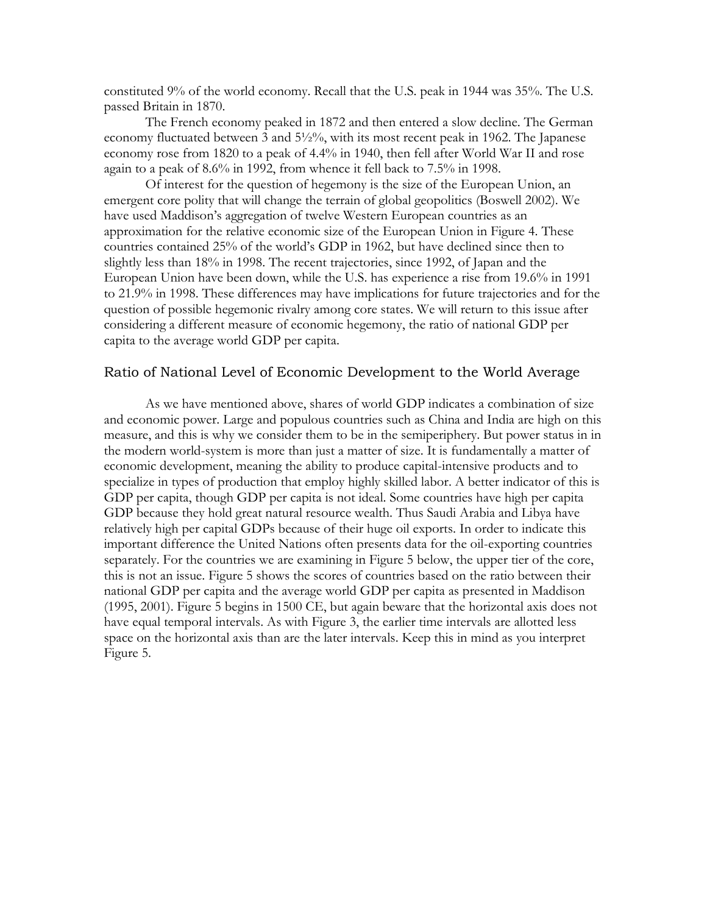constituted 9% of the world economy. Recall that the U.S. peak in 1944 was 35%. The U.S. passed Britain in 1870.

The French economy peaked in 1872 and then entered a slow decline. The German economy fluctuated between 3 and 5½%, with its most recent peak in 1962. The Japanese economy rose from 1820 to a peak of 4.4% in 1940, then fell after World War II and rose again to a peak of 8.6% in 1992, from whence it fell back to 7.5% in 1998.

Of interest for the question of hegemony is the size of the European Union, an emergent core polity that will change the terrain of global geopolitics (Boswell 2002). We have used Maddison's aggregation of twelve Western European countries as an approximation for the relative economic size of the European Union in Figure 4. These countries contained 25% of the world's GDP in 1962, but have declined since then to slightly less than 18% in 1998. The recent trajectories, since 1992, of Japan and the European Union have been down, while the U.S. has experience a rise from 19.6% in 1991 to 21.9% in 1998. These differences may have implications for future trajectories and for the question of possible hegemonic rivalry among core states. We will return to this issue after considering a different measure of economic hegemony, the ratio of national GDP per capita to the average world GDP per capita.

### Ratio of National Level of Economic Development to the World Average

As we have mentioned above, shares of world GDP indicates a combination of size and economic power. Large and populous countries such as China and India are high on this measure, and this is why we consider them to be in the semiperiphery. But power status in in the modern world-system is more than just a matter of size. It is fundamentally a matter of economic development, meaning the ability to produce capital-intensive products and to specialize in types of production that employ highly skilled labor. A better indicator of this is GDP per capita, though GDP per capita is not ideal. Some countries have high per capita GDP because they hold great natural resource wealth. Thus Saudi Arabia and Libya have relatively high per capital GDPs because of their huge oil exports. In order to indicate this important difference the United Nations often presents data for the oil-exporting countries separately. For the countries we are examining in Figure 5 below, the upper tier of the core, this is not an issue. Figure 5 shows the scores of countries based on the ratio between their national GDP per capita and the average world GDP per capita as presented in Maddison (1995, 2001). Figure 5 begins in 1500 CE, but again beware that the horizontal axis does not have equal temporal intervals. As with Figure 3, the earlier time intervals are allotted less space on the horizontal axis than are the later intervals. Keep this in mind as you interpret Figure 5.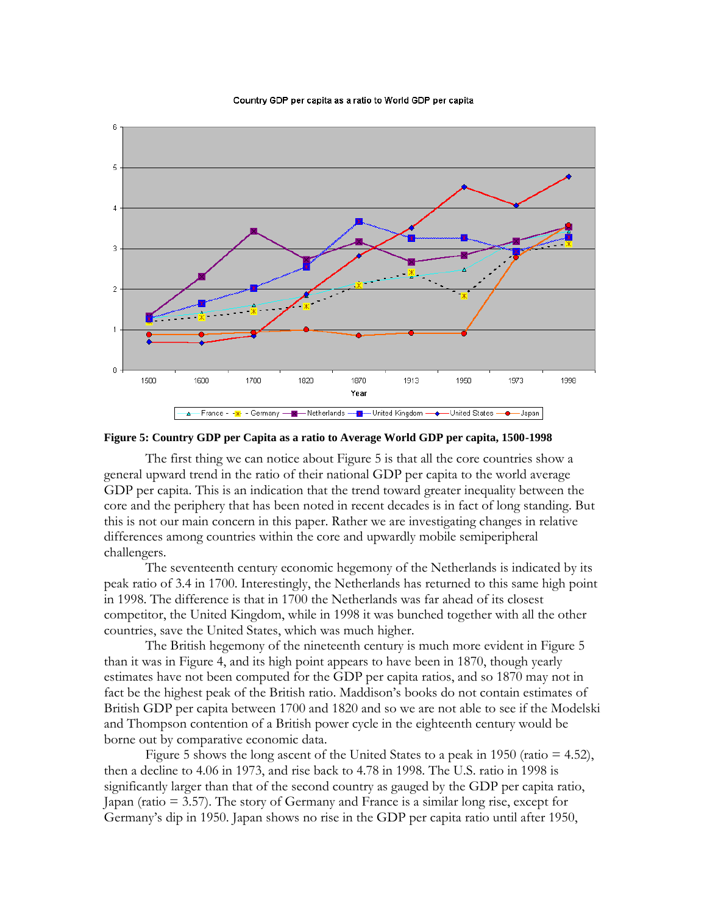#### Country GDP per capita as a ratio to World GDP per capita



**Figure 5: Country GDP per Capita as a ratio to Average World GDP per capita, 1500-1998**

The first thing we can notice about Figure 5 is that all the core countries show a general upward trend in the ratio of their national GDP per capita to the world average GDP per capita. This is an indication that the trend toward greater inequality between the core and the periphery that has been noted in recent decades is in fact of long standing. But this is not our main concern in this paper. Rather we are investigating changes in relative differences among countries within the core and upwardly mobile semiperipheral challengers.

The seventeenth century economic hegemony of the Netherlands is indicated by its peak ratio of 3.4 in 1700. Interestingly, the Netherlands has returned to this same high point in 1998. The difference is that in 1700 the Netherlands was far ahead of its closest competitor, the United Kingdom, while in 1998 it was bunched together with all the other countries, save the United States, which was much higher.

The British hegemony of the nineteenth century is much more evident in Figure 5 than it was in Figure 4, and its high point appears to have been in 1870, though yearly estimates have not been computed for the GDP per capita ratios, and so 1870 may not in fact be the highest peak of the British ratio. Maddison's books do not contain estimates of British GDP per capita between 1700 and 1820 and so we are not able to see if the Modelski and Thompson contention of a British power cycle in the eighteenth century would be borne out by comparative economic data.

Figure 5 shows the long ascent of the United States to a peak in 1950 (ratio  $= 4.52$ ), then a decline to 4.06 in 1973, and rise back to 4.78 in 1998. The U.S. ratio in 1998 is significantly larger than that of the second country as gauged by the GDP per capita ratio, Japan (ratio = 3.57). The story of Germany and France is a similar long rise, except for Germany's dip in 1950. Japan shows no rise in the GDP per capita ratio until after 1950,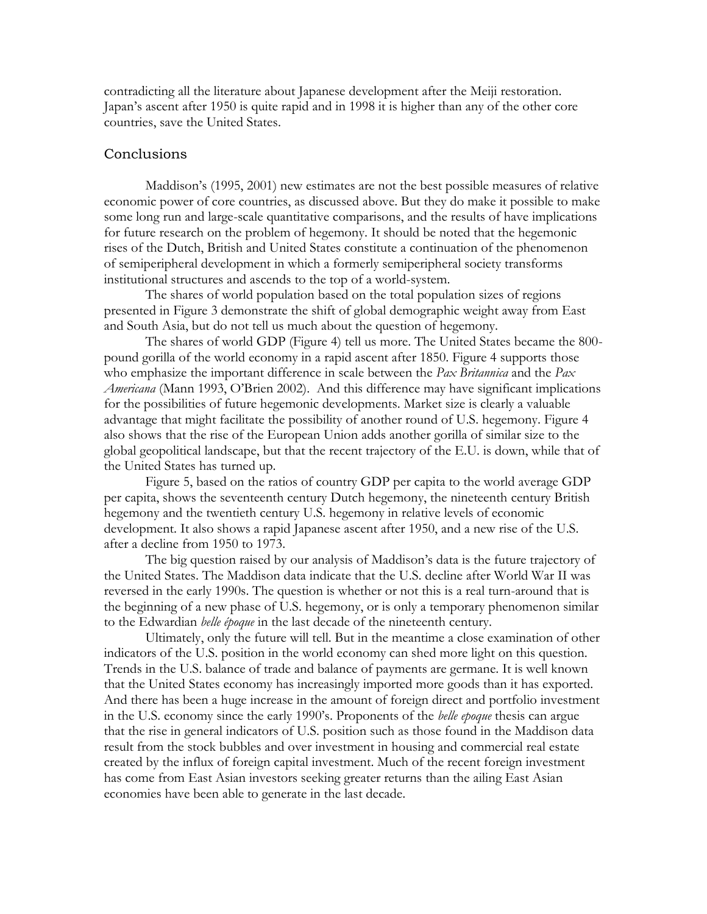contradicting all the literature about Japanese development after the Meiji restoration. Japan's ascent after 1950 is quite rapid and in 1998 it is higher than any of the other core countries, save the United States.

### Conclusions

Maddison's (1995, 2001) new estimates are not the best possible measures of relative economic power of core countries, as discussed above. But they do make it possible to make some long run and large-scale quantitative comparisons, and the results of have implications for future research on the problem of hegemony. It should be noted that the hegemonic rises of the Dutch, British and United States constitute a continuation of the phenomenon of semiperipheral development in which a formerly semiperipheral society transforms institutional structures and ascends to the top of a world-system.

The shares of world population based on the total population sizes of regions presented in Figure 3 demonstrate the shift of global demographic weight away from East and South Asia, but do not tell us much about the question of hegemony.

The shares of world GDP (Figure 4) tell us more. The United States became the 800 pound gorilla of the world economy in a rapid ascent after 1850. Figure 4 supports those who emphasize the important difference in scale between the *Pax Britannica* and the *Pax Americana* (Mann 1993, O'Brien 2002). And this difference may have significant implications for the possibilities of future hegemonic developments. Market size is clearly a valuable advantage that might facilitate the possibility of another round of U.S. hegemony. Figure 4 also shows that the rise of the European Union adds another gorilla of similar size to the global geopolitical landscape, but that the recent trajectory of the E.U. is down, while that of the United States has turned up.

Figure 5, based on the ratios of country GDP per capita to the world average GDP per capita, shows the seventeenth century Dutch hegemony, the nineteenth century British hegemony and the twentieth century U.S. hegemony in relative levels of economic development. It also shows a rapid Japanese ascent after 1950, and a new rise of the U.S. after a decline from 1950 to 1973.

The big question raised by our analysis of Maddison's data is the future trajectory of the United States. The Maddison data indicate that the U.S. decline after World War II was reversed in the early 1990s. The question is whether or not this is a real turn-around that is the beginning of a new phase of U.S. hegemony, or is only a temporary phenomenon similar to the Edwardian *belle époque* in the last decade of the nineteenth century.

Ultimately, only the future will tell. But in the meantime a close examination of other indicators of the U.S. position in the world economy can shed more light on this question. Trends in the U.S. balance of trade and balance of payments are germane. It is well known that the United States economy has increasingly imported more goods than it has exported. And there has been a huge increase in the amount of foreign direct and portfolio investment in the U.S. economy since the early 1990's. Proponents of the *belle epoque* thesis can argue that the rise in general indicators of U.S. position such as those found in the Maddison data result from the stock bubbles and over investment in housing and commercial real estate created by the influx of foreign capital investment. Much of the recent foreign investment has come from East Asian investors seeking greater returns than the ailing East Asian economies have been able to generate in the last decade.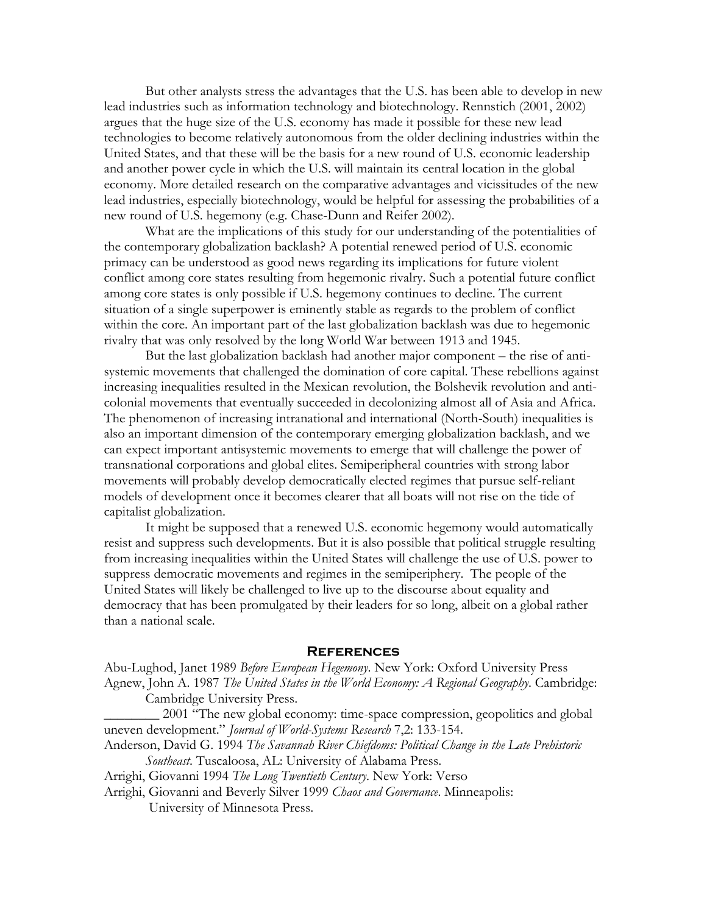But other analysts stress the advantages that the U.S. has been able to develop in new lead industries such as information technology and biotechnology. Rennstich (2001, 2002) argues that the huge size of the U.S. economy has made it possible for these new lead technologies to become relatively autonomous from the older declining industries within the United States, and that these will be the basis for a new round of U.S. economic leadership and another power cycle in which the U.S. will maintain its central location in the global economy. More detailed research on the comparative advantages and vicissitudes of the new lead industries, especially biotechnology, would be helpful for assessing the probabilities of a new round of U.S. hegemony (e.g. Chase-Dunn and Reifer 2002).

What are the implications of this study for our understanding of the potentialities of the contemporary globalization backlash? A potential renewed period of U.S. economic primacy can be understood as good news regarding its implications for future violent conflict among core states resulting from hegemonic rivalry. Such a potential future conflict among core states is only possible if U.S. hegemony continues to decline. The current situation of a single superpower is eminently stable as regards to the problem of conflict within the core. An important part of the last globalization backlash was due to hegemonic rivalry that was only resolved by the long World War between 1913 and 1945.

But the last globalization backlash had another major component – the rise of antisystemic movements that challenged the domination of core capital. These rebellions against increasing inequalities resulted in the Mexican revolution, the Bolshevik revolution and anticolonial movements that eventually succeeded in decolonizing almost all of Asia and Africa. The phenomenon of increasing intranational and international (North-South) inequalities is also an important dimension of the contemporary emerging globalization backlash, and we can expect important antisystemic movements to emerge that will challenge the power of transnational corporations and global elites. Semiperipheral countries with strong labor movements will probably develop democratically elected regimes that pursue self-reliant models of development once it becomes clearer that all boats will not rise on the tide of capitalist globalization.

It might be supposed that a renewed U.S. economic hegemony would automatically resist and suppress such developments. But it is also possible that political struggle resulting from increasing inequalities within the United States will challenge the use of U.S. power to suppress democratic movements and regimes in the semiperiphery. The people of the United States will likely be challenged to live up to the discourse about equality and democracy that has been promulgated by their leaders for so long, albeit on a global rather than a national scale.

#### **References**

Abu-Lughod, Janet 1989 *Before European Hegemony*. New York: Oxford University Press Agnew, John A. 1987 *The United States in the World Economy: A Regional Geography*. Cambridge: Cambridge University Press.

2001 "The new global economy: time-space compression, geopolitics and global uneven development." *Journal of World-Systems Research* 7,2: 133-154.

Anderson, David G. 1994 *The Savannah River Chiefdoms: Political Change in the Late Prehistoric Southeast*. Tuscaloosa, AL: University of Alabama Press.

Arrighi, Giovanni 1994 *The Long Twentieth Century*. New York: Verso

Arrighi, Giovanni and Beverly Silver 1999 *Chaos and Governance*. Minneapolis:

University of Minnesota Press.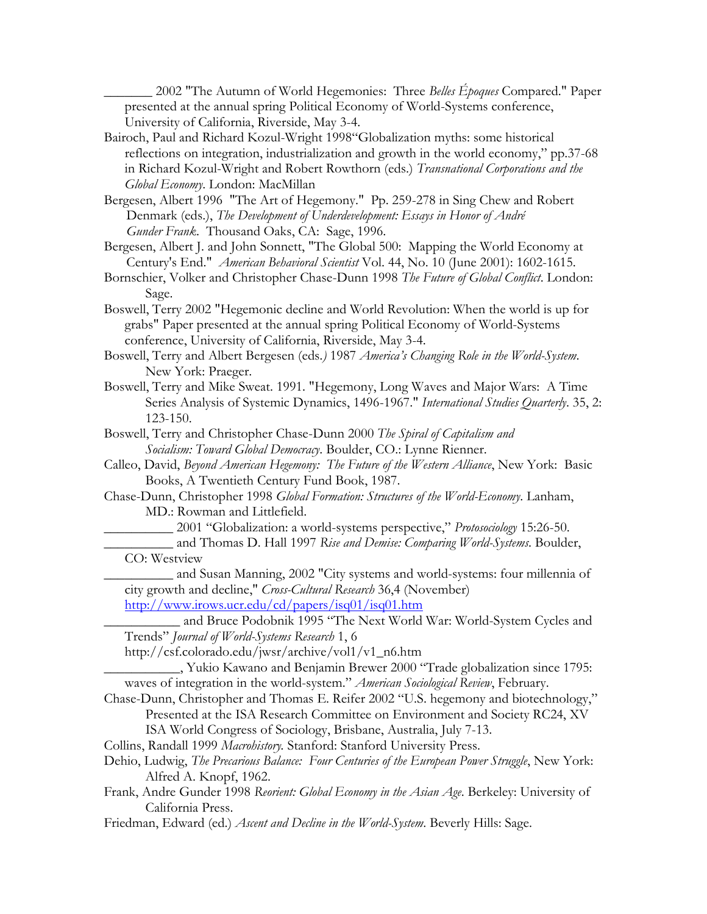\_\_\_\_\_\_\_ 2002 "The Autumn of World Hegemonies: Three *Belles Époques* Compared." Paper presented at the annual spring Political Economy of World-Systems conference, University of California, Riverside, May 3-4.

- Bairoch, Paul and Richard Kozul-Wright 1998"Globalization myths: some historical reflections on integration, industrialization and growth in the world economy," pp.37-68 in Richard Kozul-Wright and Robert Rowthorn (eds.) *Transnational Corporations and the Global Economy*. London: MacMillan
- Bergesen, Albert 1996 "The Art of Hegemony." Pp. 259-278 in Sing Chew and Robert Denmark (eds.), *The Development of Underdevelopment: Essays in Honor of André Gunder Frank*. Thousand Oaks, CA: Sage, 1996.

Bergesen, Albert J. and John Sonnett, "The Global 500: Mapping the World Economy at Century's End." *American Behavioral Scientist* Vol. 44, No. 10 (June 2001): 1602-1615.

- Bornschier, Volker and Christopher Chase-Dunn 1998 *The Future of Global Conflict*. London: Sage.
- Boswell, Terry 2002 "Hegemonic decline and World Revolution: When the world is up for grabs" Paper presented at the annual spring Political Economy of World-Systems conference, University of California, Riverside, May 3-4.

Boswell, Terry and Albert Bergesen (eds*.)* 1987 *America's Changing Role in the World-System*. New York: Praeger.

- Boswell, Terry and Mike Sweat. 1991. "Hegemony, Long Waves and Major Wars: A Time Series Analysis of Systemic Dynamics, 1496-1967." *International Studies Quarterly*. 35, 2: 123-150.
- Boswell, Terry and Christopher Chase-Dunn 2000 *The Spiral of Capitalism and Socialism: Toward Global Democracy*. Boulder, CO.: Lynne Rienner.
- Calleo, David, *Beyond American Hegemony: The Future of the Western Alliance*, New York: Basic Books, A Twentieth Century Fund Book, 1987.
- Chase-Dunn, Christopher 1998 *Global Formation: Structures of the World-Economy*. Lanham, MD.: Rowman and Littlefield.

\_\_\_\_\_\_\_\_\_\_ 2001 "Globalization: a world-systems perspective," *Protosociology* 15:26-50.

- \_\_\_\_\_\_\_\_\_\_ and Thomas D. Hall 1997 *Rise and Demise: Comparing World-Systems*. Boulder, CO: Westview
- \_\_\_\_\_\_\_\_\_\_ and Susan Manning, 2002 "City systems and world-systems: four millennia of city growth and decline," *Cross-Cultural Research* 36,4 (November)

<http://www.irows.ucr.edu/cd/papers/isq01/isq01.htm>

\_\_\_\_\_\_\_\_\_\_\_ and Bruce Podobnik 1995 "The Next World War: World-System Cycles and Trends" *Journal of World-Systems Research* 1, 6

http://csf.colorado.edu/jwsr/archive/vol1/v1\_n6.htm

\_\_\_\_\_\_\_\_\_\_\_, Yukio Kawano and Benjamin Brewer 2000 "Trade globalization since 1795: waves of integration in the world-system." *American Sociological Review*, February.

Chase-Dunn, Christopher and Thomas E. Reifer 2002 "U.S. hegemony and biotechnology," Presented at the ISA Research Committee on Environment and Society RC24, XV

ISA World Congress of Sociology, Brisbane, Australia, July 7-13.

Collins, Randall 1999 *Macrohistory.* Stanford: Stanford University Press.

Dehio, Ludwig, *The Precarious Balance: Four Centuries of the European Power Struggle*, New York: Alfred A. Knopf, 1962.

Frank, Andre Gunder 1998 *Reorient: Global Economy in the Asian Age*. Berkeley: University of California Press.

Friedman, Edward (ed.) *Ascent and Decline in the World-System*. Beverly Hills: Sage.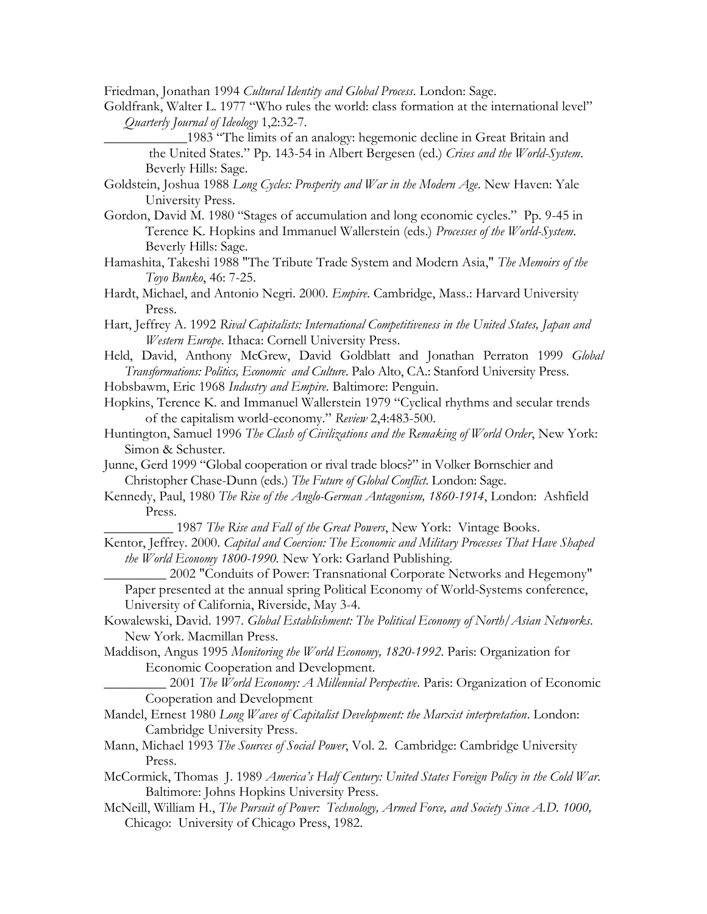Friedman, Jonathan 1994 *Cultural Identity and Global Process*. London: Sage.

Goldfrank, Walter L. 1977 "Who rules the world: class formation at the international level" *Quarterly Journal of Ideology* 1,2:32-7.

\_\_\_\_\_\_\_\_\_\_\_\_1983 "The limits of an analogy: hegemonic decline in Great Britain and the United States." Pp. 143-54 in Albert Bergesen (ed.) *Crises and the World-System*. Beverly Hills: Sage.

Goldstein, Joshua 1988 *Long Cycles: Prosperity and War in the Modern Age*. New Haven: Yale University Press.

- Gordon, David M. 1980 "Stages of accumulation and long economic cycles." Pp. 9-45 in Terence K. Hopkins and Immanuel Wallerstein (eds.) *Processes of the World-System*. Beverly Hills: Sage.
- Hamashita, Takeshi 1988 "The Tribute Trade System and Modern Asia," *The Memoirs of the Toyo Bunko*, 46: 7-25.
- Hardt, Michael, and Antonio Negri. 2000. *Empire*. Cambridge, Mass.: Harvard University Press.

Hart, Jeffrey A. 1992 *Rival Capitalists: International Competitiveness in the United States, Japan and Western Europe*. Ithaca: Cornell University Press.

Held, David, Anthony McGrew, David Goldblatt and Jonathan Perraton 1999 *Global Transformations: Politics, Economic and Culture*. Palo Alto, CA.: Stanford University Press.

Hobsbawm, Eric 1968 *Industry and Empire*. Baltimore: Penguin.

- Hopkins, Terence K. and Immanuel Wallerstein 1979 "Cyclical rhythms and secular trends of the capitalism world-economy." *Review* 2,4:483-500.
- Huntington, Samuel 1996 *The Clash of Civilizations and the Remaking of World Order*, New York: Simon & Schuster.

Junne, Gerd 1999 "Global cooperation or rival trade blocs?" in Volker Bornschier and Christopher Chase-Dunn (eds.) *The Future of Global Conflict*. London: Sage.

Kennedy, Paul, 1980 *The Rise of the Anglo-German Antagonism, 1860-1914*, London: Ashfield Press.

\_\_\_\_\_\_\_\_\_\_ 1987 *The Rise and Fall of the Great Powers*, New York: Vintage Books.

Kentor, Jeffrey. 2000. *Capital and Coercion: The Economic and Military Processes That Have Shaped the World Economy 1800-1990.* New York: Garland Publishing.

2002 "Conduits of Power: Transnational Corporate Networks and Hegemony" Paper presented at the annual spring Political Economy of World-Systems conference, University of California, Riverside, May 3-4.

Kowalewski, David. 1997. *Global Establishment: The Political Economy of North/Asian Networks*. New York. Macmillan Press.

Maddison, Angus 1995 *Monitoring the World Economy, 1820-1992*. Paris: Organization for Economic Cooperation and Development.

\_\_\_\_\_\_\_\_\_ 2001 *The World Economy: A Millennial Perspective*. Paris: Organization of Economic Cooperation and Development

- Mandel, Ernest 1980 *Long Waves of Capitalist Development: the Marxist interpretation*. London: Cambridge University Press.
- Mann, Michael 1993 *The Sources of Social Power*, Vol. 2. Cambridge: Cambridge University Press.
- McCormick, Thomas J. 1989 *America's Half Century: United States Foreign Policy in the Cold War.* Baltimore: Johns Hopkins University Press.
- McNeill, William H., *The Pursuit of Power: Technology, Armed Force, and Society Since A.D. 1000,* Chicago: University of Chicago Press, 1982.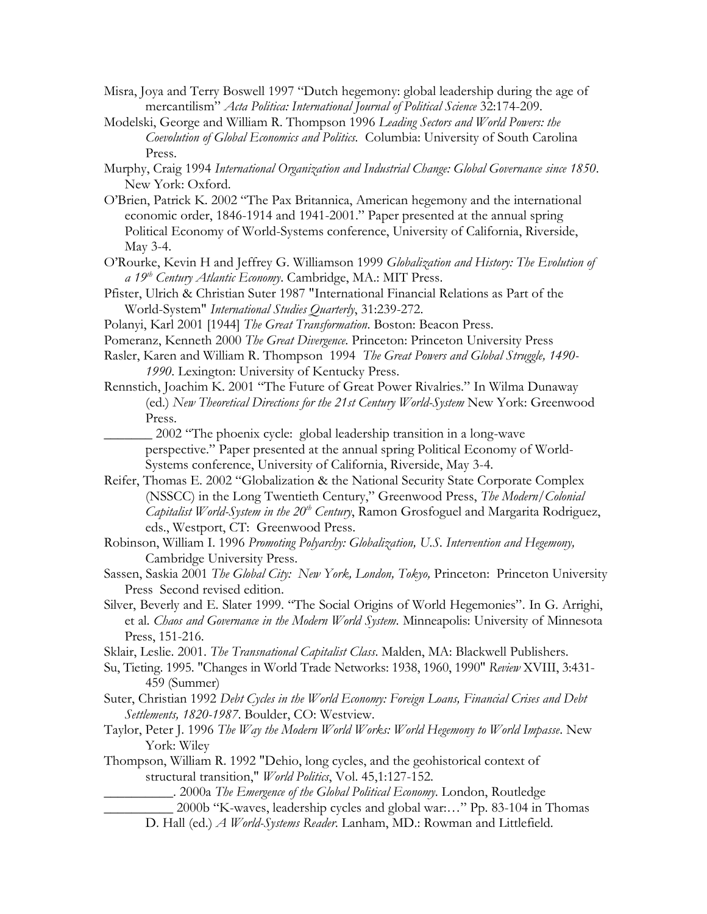- Misra, Joya and Terry Boswell 1997 "Dutch hegemony: global leadership during the age of mercantilism" *Acta Politica: International Journal of Political Science* 32:174-209.
- Modelski, George and William R. Thompson 1996 *Leading Sectors and World Powers: the Coevolution of Global Economics and Politics.* Columbia: University of South Carolina Press.
- Murphy, Craig 1994 *International Organization and Industrial Change: Global Governance since 1850*. New York: Oxford.
- O'Brien, Patrick K. 2002 "The Pax Britannica, American hegemony and the international economic order, 1846-1914 and 1941-2001." Paper presented at the annual spring Political Economy of World-Systems conference, University of California, Riverside, May 3-4.
- O'Rourke, Kevin H and Jeffrey G. Williamson 1999 *Globalization and History: The Evolution of a 19th Century Atlantic Economy*. Cambridge, MA.: MIT Press.
- Pfister, Ulrich & Christian Suter 1987 "International Financial Relations as Part of the World-System" *International Studies Quarterly*, 31:239-272.
- Polanyi, Karl 2001 [1944] *The Great Transformation*. Boston: Beacon Press.
- Pomeranz, Kenneth 2000 *The Great Divergence*. Princeton: Princeton University Press
- Rasler, Karen and William R. Thompson 1994 *The Great Powers and Global Struggle, 1490- 1990*. Lexington: University of Kentucky Press.
- Rennstich, Joachim K. 2001 "The Future of Great Power Rivalries." In Wilma Dunaway (ed.) *New Theoretical Directions for the 21st Century World-System* New York: Greenwood Press.

\_\_\_\_\_\_\_ 2002 "The phoenix cycle: global leadership transition in a long-wave perspective." Paper presented at the annual spring Political Economy of World-Systems conference, University of California, Riverside, May 3-4.

- Reifer, Thomas E. 2002 "Globalization & the National Security State Corporate Complex (NSSCC) in the Long Twentieth Century," Greenwood Press, *The Modern/Colonial Capitalist World-System in the 20th Century*, Ramon Grosfoguel and Margarita Rodriguez, eds., Westport, CT: Greenwood Press.
- Robinson, William I. 1996 *Promoting Polyarchy: Globalization, U.S. Intervention and Hegemony,*  Cambridge University Press.
- Sassen, Saskia 2001 *The Global City: New York, London, Tokyo,* Princeton: Princeton University Press Second revised edition.
- Silver, Beverly and E. Slater 1999. "The Social Origins of World Hegemonies". In G. Arrighi, et al. *Chaos and Governance in the Modern World System*. Minneapolis: University of Minnesota Press, 151-216.
- Sklair, Leslie. 2001. *The Transnational Capitalist Class*. Malden, MA: Blackwell Publishers.
- Su, Tieting. 1995. "Changes in World Trade Networks: 1938, 1960, 1990" *Review* XVIII, 3:431- 459 (Summer)
- Suter, Christian 1992 *Debt Cycles in the World Economy: Foreign Loans, Financial Crises and Debt Settlements, 1820-1987*. Boulder, CO: Westview.
- Taylor, Peter J. 1996 *The Way the Modern World Works: World Hegemony to World Impasse*. New York: Wiley
- Thompson, William R. 1992 "Dehio, long cycles, and the geohistorical context of structural transition," *World Politics*, Vol. 45,1:127-152.

\_\_\_\_\_\_\_\_\_\_. 2000a *The Emergence of the Global Political Economy*. London, Routledge

\_\_\_\_\_\_\_\_\_\_ 2000b "K-waves, leadership cycles and global war:…" Pp. 83-104 in Thomas

D. Hall (ed.) *A World-Systems Reader*. Lanham, MD.: Rowman and Littlefield.